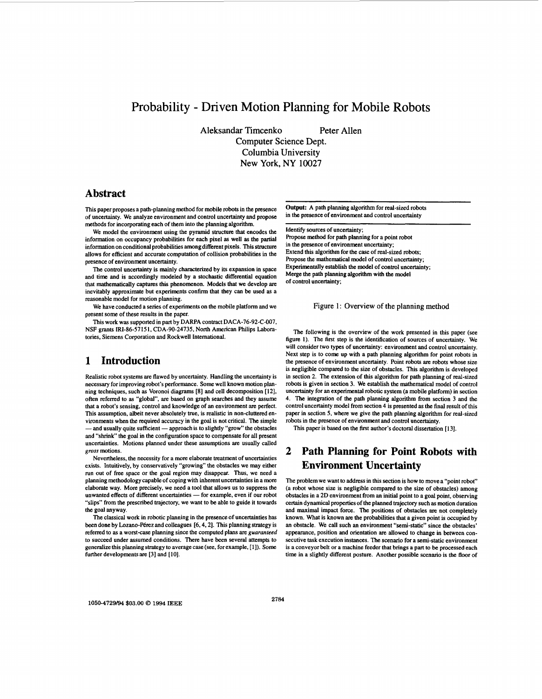# Probability - Driven Motion Planning **for** Mobile Robots

Aleksandar Timcenko Peter Allen

Computer Science Dept. Columbia University New York, NY 10027

## **Abstract**

This paper proposes a path-planning method for mobile robots in the presence of uncertainty. We analyze environment and control uncertainty and propose methods for incorporating each of them into the planning algorithm.

We model the environment using the pyramid structure that encodes the information on occupancy probabilities for each pixel **as** well **as** the partial information on conditional probabilities among different pixels. This structure allows for efficient and accurate computation of collision probabilities in the presence of environment uncertainty.

The control uncertainty is mainly characterized by its expansion in space and time and is accordingly modeled by a stochastic differential equation that mathematically captures this phenomenon. Models that we develop **are** inevitably approximate but experiments confirm that they can be used **as** a reasonable model for motion planning.

We have conducted a series of experiments on the mobile platform and we present some of these results in the paper.

This work was supportedin part by DARPA contract DACA-76-92-C-007. NSF grants RI-86-57151, CDA-90-24735. North American Philips Laboratories, Siemens Corporation and Rockwell International.

## **1 Introduction**

Realistic robot systems are flawed by uncertainty. Handling the uncertainty is necessary for improving robot's performance. Some well known motion planning techniques, such **as** Voronoi diagrams **[8]** and cell decomposition [12], often referred to **as** "global", **are** based on graph searches and they assume that a robot's sensing, control and knowledge of an environment are perfect. This assumption, albeit never absolutely true, is realistic in non-cluttered en-This assumption, albeit never absolutely true, is realistic in non-cluttered environments when the required accuracy in the goal is not critical. The simple — and usually quite sufficient — approach is to slightly "grow" t and "shrink" the goal in the configuration space to compensate for all present uncertainties. Motions planned under these assumptions are usually called *gross* motions.

Nevertheless, the necessity for a more elaborate treatment of uncertainties exists. Intuitively, by conservatively "growing" the obstacles we may either run out of free space or the goal region may disappear. Thus, we need a planning methodology capable of coping with inherent uncertainties in a more planning methodology capable of coping with inherent uncertainties in a more<br>elaborate way. More precisely, we need a tool that allows us to suppress the<br>unwanted effects of different uncertainties -- for example, even if "slips" from the prescribed trajectory, we want to be able to guide it towards **the** goal anyway.

The classical work in robotic planning in the presence of uncertainties has been done by Lozano-Pérez and colleagues [6, 4, 2]. This planning strategy is referred to **as** a worst-case planning since the computed plans **are** *guaranteed*  to succeed under assumed conditions. There have been several attempts to generalize this planning strategy **to** average case (see, for example, **[l]).** Some further developments are [3] and [10].

**Output:** A path planning algorithm for real-sized robots in the presence of environment and control uncertainty

Identify sources of uncertainty; Propose method for path planning for a point robot in the presence of environment uncertainty; Extend this algorithm for the case of real-sized robots; Propose the mathematical model of control uncertainty; Experimentally establish the model of control uncertainty; Merge the path planning algorithm with the model of control uncertainty;

[Figure](#page-5-0) 1: Overview of the planning method

The following is the overview of the work presented in this paper **(see**  figure 1). The first step is the identification of sources of uncertainty. We will consider two types of uncertainty: environment and control uncertainty. Next step is to come up with a path planning algorithm for point robots in the presence of environment uncertainty. Point robots **are** robots whose size is negligible compared to the size of obstacles. This algorithm is developed in section 2. The extension of this algorithm for path planning of real-sized **robots** is given in section 3. We establish the mathematical model of control uncertainty for an experimental robotic system (a mobile platform) in section **4.** The integration of the path planning algorithm from section 3 and the control uncertainty model from section **4** is presented **as** the final result of this paper in section *5,* where we give the path planning algorithm for real-sized robots in the presence of environment and control uncertainty.

This paper is based on the first author's doctoral dissertation [13].

# **2 Path Planning for Point Robots with Environment Uncertainty**

The problem we want to address in this section is how to move a "point robot" (a robot whose size is negligible compared to the size of obstacles) among obstacles in a 2D environment from an initial point to a goal point, observing certain dynamical properties of the planned trajectory such **as** motion duration and maximal impact force. **The** positions of obstacles **are** not completely known. What is known **are** the probabilities that a given point is occupied by an obstacle. We call such an environment "semi-static" since **the** obstacles' appearance, position and orientation **are** allowed to change in between consecutive task execution instances. The scenario for a semi-static environment is a conveyor **belt** or a machine feeder **that** brings a part to **be** processed each time in a slightly different posture. Another possible scenario is the floor of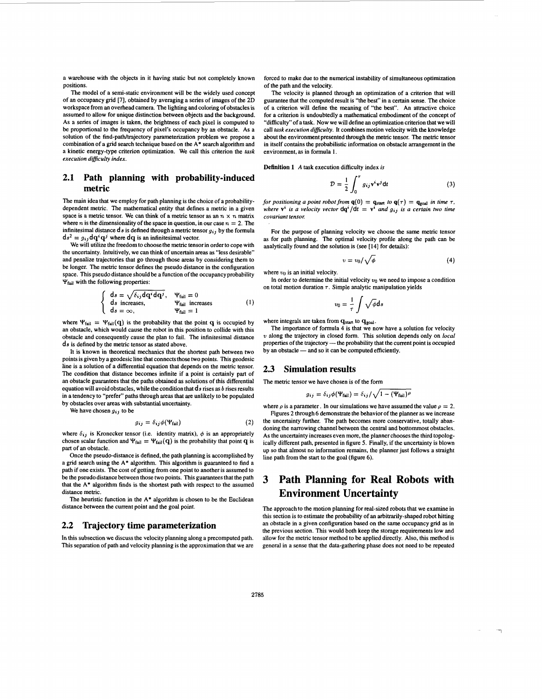a warehouse with the objects in it having static but not completely known positions.

The model of a semi-static environment will be the widely used concept of an occupancy grid **[7],** obtained by averaging a series of images of the 2D workspace from an overhead camera. The lighting and coloring of obstacles is assumed to allow for unique distinction between objects and the background. As a series of images is taken, the brightness of each pixel is computed to be proportional to the frequency *of* pixel's occupancy by **an** obstacle. As a solution of the find-path/trajectory parameterization problem we propose a combination of a grid search technique based on the **A\*** search algorithm and a kinetic energy-type criterion optimization. We call this criterion the *task execution diflculiy index.* 

### **2.1 Path planning with probability-induced metric**

The main idea that we employ for path planning is the choice of a probabilitydependent metric. The mathematical entity that defines a metric in a given space is a metric tensor. We can think of a metric tensor as an  $n \times n$  matrix where *n* is the dimensionality of the space in question, in our case  $n = 2$ . The infinitesimal distance  $d\mathbf{s}$  is defined through a metric tensor  $g_{ij}$  by the formula  $ds^2 = g_{ij} dq^i q^j$  where  $dq$  is an infinitesimal vector.

We will utilize the freedom to choose the metric tensor in order to cope with the uncertainty. Intuitively. we can think of uncertain areas **as** "less desirable" and penalize trajectories that go through those areas by considering them to be longer. The metric tensor defines the pseudo distance in the configuration space. This pseudo distance should be a function of the occupancyprobability *Y*<sub>fail</sub> with the following properties:

$$
\begin{cases}\n\mathbf{d}s = \sqrt{\delta_{ij}}\mathbf{d}\mathbf{q}^{i}\mathbf{d}\mathbf{q}^{j}, & \mathbf{\Psi}_{\text{fail}} = 0 \\
\mathbf{d}s \text{ increases}, & \mathbf{\Psi}_{\text{fail}} = 1 \\
\mathbf{d}s = \infty, & \mathbf{\Psi}_{\text{fail}} = 1\n\end{cases}
$$
\n(1)

where  $\Psi_{\text{fail}} = \Psi_{\text{fail}}(\mathbf{q})$  is the probability that the point **q** is occupied by an obstacle, which would cause the robot in this position to collide with this obstacle and consequently cause the plan to fail. The infinitesimal distance **ds** is defined by the metric tensor **as** stated above.

It is known in theoretical mechanics that the shortest path between two points is given by a geodesic line that connects those two points. This geodesic line is a solution of a differential equation that depends on the metric tensor. The condition that distance becomes infinite if a point is certainly part of an obstacle guarantees that the paths obtained **as** solutions of this differential equation will avoidobstacles, while the condition that **ds** rises **as** b rises results in a tendency to "prefer" paths through areas that **are** unlikely to be populated by obstacles over areas with substantial uncertainty. We have chosen  $g_{ij}$  to be

$$
g_{ij} = \delta_{ij} \phi(\Psi_{\text{fail}})
$$
 (2)

where  $\delta_{ij}$  is Kronecker tensor (i.e. identity matrix),  $\phi$  is an appropriately chosen scalar function and  $\Psi_{fail} = \Psi_{fail}(q)$  is the probability that point **q** is part of an obstacle.

Once the pseudo-distance is defined, the path planning is accomplished by a grid search using the **A\*** algorithm. This algorithm is guaranteed to find a path if one exists. The cost of getting from one point to another is assumed to be the pseudo distance between those two points. This guarantees that the path that the A\* algorithm finds is the shortest path with respect to the assumed distance metric.

The heuristic function in the A\* algorithm is chosen to be the Euclidean distance between the current point and the goal point.

#### **2.2 Trajectory time parameterization**

In this subsection we discuss the velocity planning along a precomputed path. This separation of path and velocity planning is the approximation that we are forced to make due to the numerical instability of simultaneous optimization of the path and the velocity.

The velocity is planned through an optimization of a criterion that will guarantee that the computed result is "the best" in a certain sense. The choice of a criterion will define the meaning of "the best". An attractive choice for a criterion is undoubtedly a mathematical embodiment of the concept of "difficulty" of a task. Now we will define an optimization criterion that we will call *task execution difficulty*. It combines motion velocity with the knowledge about the environment presented through the metric tensor. The metric tensor in itself contains the probabilistic information on obstacle arrangement in the environment, **as** in formula **1.** 

Definition **1** A task execution difficulty index *is* 

$$
\mathcal{D} = \frac{1}{2} \int_0^{\tau} g_{ij} \mathbf{v}^i \mathbf{v}^j \mathrm{d}t \tag{3}
$$

*for positioning a point robot from*  $\mathbf{q}(0) = \mathbf{q}_{\text{start}}$  *to*  $\mathbf{q}(\tau) = \mathbf{q}_{\text{goal}}$  *in time*  $\tau$ *,* where  $\mathbf{v}^i$  is a velocity vector  $\mathbf{dq}^i/\mathbf{dt} = \mathbf{v}^i$  and  $g_{ij}$  is a certain two time *covariant tenso,:* 

For the purpose of planning velocity we choose the same metric tensor **as** for path planning. The optimal velocity profile along the path can be analytically found and the solution is (see **[I41** for details):

$$
v = v_0 / \sqrt{\phi} \tag{4}
$$

where  $v_0$  is an initial velocity.

on total motion duration  $\tau$ . Simple analytic manipulation yields In order to determine the initial velocity  $v_0$  we need to impose a condition

$$
v_0=\frac{1}{\tau}\int\sqrt{\phi}\mathsf{d} s
$$

where integrals are taken from  $\mathbf{q}_{\text{star}}$  to  $\mathbf{q}_{\text{goal}}$ .

The importance of formula **4** is that we now have a solution for velocity *U* along the trajectory in closed form. This solution depends only on *local*  properties of the trajectory  $-$  the probability that the current point is occupied by an obstacle  $-$  and so it can be computed efficiently.

#### **2.3 Simulation results**

The metric tensor we have chosen is of the form

$$
g_{ij} = \delta_{ij}\phi(\Psi_{\text{fail}}) = \delta_{ij}/\sqrt{1 - (\Psi_{\text{fail}})\rho}
$$

where  $\rho$  is a parameter. In our simulations we have assumed the value  $\rho = 2$ . Figures 2 through 6 demonstrate the behavior of the planner **as** we increase the uncertainty further. The path becomes more conservative, totally abandoning the narrowing channel between the central and bottommost obstacles. As the uncertainty increases even more, the planner chooses the third topologically different path, presented in figure *5.* Finally, if the uncertainty is blown up so that almost no information remains, the planner just follows a straight line path from the **start** to the goal (figure 6).

## **3 Path Planning for Real Robots with Environment Uncertainty**

The approach to the motion planning for real-sized robots that we examine in this section is to estimate the probability of an arbitrarily-shaped robot hitting an obstacle in a given configuration based on the same occupancy grid **as** in the previous section. This would both keep the storage requirements low and allow for the metric tensor method to be applied directly. **Also,** this method is general in a sense that the data-gathering phase does not need to be repeated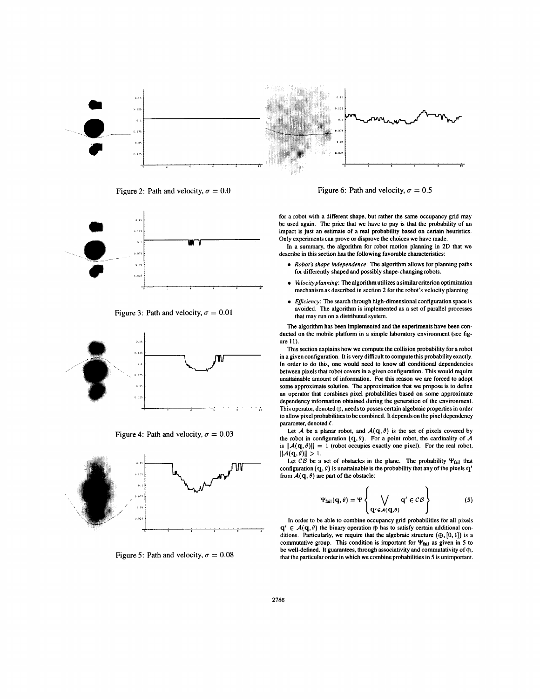

Figure 2: Path and velocity,  $\sigma = 0.0$ 



Figure 3: Path and velocity,  $\sigma = 0.01$ 



Figure 4: Path and velocity,  $\sigma = 0.03$ 



Figure 5: Path and velocity,  $\sigma = 0.08$ 

Figure 6: Path and velocity,  $\sigma = 0.5$ 

for a robot with a different shape, but rather the same occupancy grid may be used again. The price that we have to pay is that the probability of an impact is **just** an estimate of a real probability based on certain heuristics. Only experiments can prove or disprove the choices we have made.

In a summary, the algorithm for robot motion planning in **2D** that we describe in this section has the following favorable characteristics:

- *Robot's shape independence*: The algorithm allows for planning paths for differently shaped and possibly shape-changing robots.
- *Velocity planning*: The algorithm utilizes a similar criterion optimization mechanism as described in section 2 for the robot's velocity planning.
- *Eficiency:* The search through high-dimensional configuration space is avoided. The algorithm is implemented **as** a set of parallel processes that may run on a distributed system.

The algorithm has been implemented and the experiments have been conducted on the mobile platform in a simple laboratory environment (see figure 11).

This section explains how we compute the collision probability for a robot in a given configuration. It is very difficult to compute this probability exactly. In order to do this, one would need to know all conditional dependencies between pixels that robot covers in a given configuration. This would require unattainable amount of information. For this reason we are forced to adopt some approximate solution. The approximation that we propose is to define an operator that combines pixel probabilities based on some approximate dependency information obtained during the generation of the environment. This operator, denoted  $\oplus$ , needs to posses certain algebraic properties in order to allow pixel probabilities to be combined. It dependson the pixel dependency parameter, denoted *P.* 

Let *A* be a planar robot, and  $A(q, \theta)$  is the set of pixels covered by the robot in configuration  $(q, \theta)$ . For a point robot, the cardinality of  $\mathcal{A}$ is  $||A(q, \theta)|| = 1$  (robot occupies exactly one pixel). For the real robot,  $\|\mathcal{A}(\mathbf{q},\theta)\| > 1.$ 

Let  $CB$  be a set of obstacles in the plane. The probability  $\Psi_{\text{fail}}$  that configuration  $(q, \theta)$  is unattainable is the probability that any of the pixels  $q'$ from  $\mathcal{A}(\mathbf{q}, \theta)$  are part of the obstacle:

$$
\Psi_{\text{fail}}(\mathbf{q}, \theta) = \Psi \left\{ \bigvee_{\mathbf{q}' \in \mathcal{A}(\mathbf{q}, \theta)} \mathbf{q}' \in \mathcal{CB} \right\} \tag{5}
$$

In order to be able to combine occupancy grid probabilities for all pixels  $q' \in \mathcal{A}(q, \theta)$  the binary operation  $\oplus$  has to satisfy certain additional conditions. Particularly, we require that the algebraic structure  $(\oplus, [0,1])$  is a commutative group. This condition is important for  $\Psi_{\text{fail}}$  as given in 5 to be well-defined. It guarantees, through associativity and commutativity of  $\oplus$ , that the particular order in which we combine probabilities in *5* is unimportant.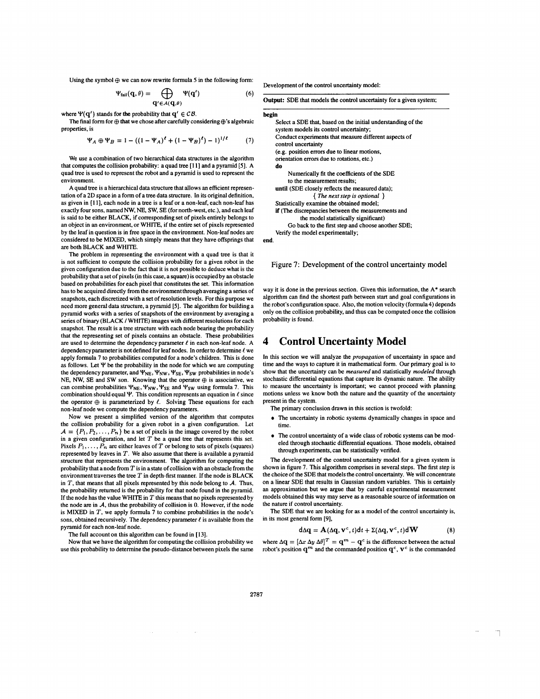Using the symbol  $\oplus$  we can now rewrite formula 5 in the following form:

$$
\Psi_{\text{fail}}(\mathbf{q}, \theta) = \bigoplus_{\mathbf{q}' \in \mathcal{A}(\mathbf{q}, \theta)} \Psi(\mathbf{q}') \tag{6}
$$

where  $\Psi(\mathbf{q}')$  stands for the probability that  $\mathbf{q}' \in \mathcal{CB}$ .

properties, is The final form for  $\oplus$  that we chose after carefully considering  $\oplus$ 's algebraic

$$
\Psi_A \oplus \Psi_B = 1 - ((1 - \Psi_A)^{\ell} + (1 - \Psi_B)^{\ell}) - 1)^{1/\ell} \tag{7}
$$

We use a combination of two hierarchical data structures in the algorithm that computes the collision probability: a quad **tree [ll]** and a pyramid **[5].** A quad tree is used to represent the robot and a pyramid is used to represent the environment.

A quad tree is a hierarchical data structure that allows an efficient representation of a **2D** space in a form of a tree data structure. In its original definition, **as** given in [ **111,** each node in a tree is a leaf or a non-leaf, each non-leaf has exactly four sons, named *NW,* **NE,** SW, **SE** (for north-west, etc.), and each leaf is said to be either BLACK, if corresponding set of pixels entirely belongs to an object in an environment, or WHITE, if the entire set of pixels represented by the leaf in question is in free space in the environment. Non-leaf nodes **are**  considered to be **MIXED,** which simply means that they have offsprings that **are** both BLACK and WHITE.

The problem in representing the environment with a quad tree is that it is not sufficient to compute the collision probability for a given robot in the given configuration due to the fact that it is not possible to deduce what is the probability that a set of pixels (in this case, a square) is occupied by **an** obstacle based on probabilities for each pixel that constitutes the set. This information has to be acquired directly from the environment through averaging a series of snapshots, each discretized with a set of resolution levels. For this purpose we need more general data structure, a pyramid **[5].** The algorithm for building a pyramid works with a series of snapshots of the environment by averaging a series of binary (BLACK /WHITE) images with different resolutions for each snapshot. The result is a tree structure with each node bearing the probability that the representing set of pixels contains an obstacle. These probabilities are used to determine the dependency parameter *4* in each non-leaf node. A dependency parameter is not defined for leaf nodes. In order to determine *4* we apply formula **7** to probabilities computed for a node's children. This is done **as** follows. Let **Y** be the probability in the node for which we are computing the dependency parameter, and  $\Psi_{NE}$ ,  $\Psi_{NW}$ ,  $\Psi_{SE}$ ,  $\Psi_{SW}$  probabilities in node's NE, NW, SE and SW son. Knowing that the operator  $\oplus$  is associative, we can combine probabilities  $\Psi_{NE}$ ,  $\Psi_{NW}$ ,  $\Psi_{SE}$  and  $\Psi_{SW}$  using formula 7. This combination should equal  $\Psi$ . This condition represents an equation in  $\ell$  since the operator  $\oplus$  is parameterized by  $\ell$ . Solving These equations for each non-leaf node we compute the dependency parameters.

Now we present a simplified version of the algorithm that computes the collision probability for a given robot in a given configuration. Let  $A = \{P_1, P_2, \ldots, P_n\}$  be a set of pixels in the image covered by the robot in a given configuration, and let *T* be a quad **tree** that represents this set. Pixels  $P_1, \ldots, P_n$  are either leaves of T or belong to sets of pixels (squares) represented by leaves in *T.* We also assume that there is available a pyramid structure that represents the environment. The algorithm for computing the probability that a node from *T* is in a state of collision with an obstacle from the environment traverses the tree *T* in depth-first manner. If the node is BLACK in  $T$ , that means that all pixels represented by this node belong to  $A$ . Thus, the probability returned is the probability for that node found in the pyramid. If the node has the value WHITE in *T* this means that no pixels represented by the node are in *A,* thus the probability of collision is 0. However, if the node is **MIXED** in *T,* we apply formula **7** to combine probabilities in the node's sons, obtained recursively. The dependency parameter  $\ell$  is available from the pyramid for each non-leaf node.

The full account on this algorithm can be found in [ **131.** 

Now that we have the algorithm for computing the collision probability we use this probability to determine the pseudo-distance between pixels the same Development of the control uncertainty model:

| begin |                                                                              |
|-------|------------------------------------------------------------------------------|
|       | Select a SDE that, based on the initial understanding of the                 |
|       | system models its control uncertainty;                                       |
|       | Conduct experiments that measure different aspects of<br>control uncertainty |
|       | (e.g. position errors due to linear motions,                                 |
|       | orientation errors due to rotations, etc.)                                   |
|       | do                                                                           |
|       | Numerically fit the coefficients of the SDE                                  |
|       | to the measurement results;                                                  |
|       | until (SDE closely reflects the measured data);                              |
|       | $\{$ The next step is optional $\}$                                          |
|       | Statistically examine the obtained model,                                    |
|       | if (The discrepancies between the measurements and                           |
|       | the model statistically significant)                                         |
|       | Go back to the first step and choose another SDE;                            |
|       | Verify the model experimentally;                                             |

Output: **SDE** that models the control uncertainty for a given system;

Figure 7: Development of the control uncertainty model

way it is done in the previous section. Given this information, the A\* search algorithm can find the shortest path between start and goal configurations in the robot's configuration space. Also, the motion velocity (formula4) depends only on the collision probability, and thus can be computed once the collision probability is found.

### **4 Control Uncertainty Model**

In this section we will analyze the *propagation* of uncertainty in space and time and the ways to capture it in mathematical form. Our primary goal is to show that the uncertainty can be *measured* and statistically *modeled* through stochastic differential equations that capture its dynamic nature. The ability to measure the uncertainty is important; we cannot proceed with planning motions unless we know both the nature and the quantity of the uncertainty present in the system.

The primary conclusion drawn in this section is twofold:

- The uncertainty in robotic systems dynamically changes in space and time.
- The control uncertainty of a wide class of robotic systems can be modeled through stochastic differential equations. Those models, obtained through experiments, can be statistically verified.

The development of the control uncertainty model for a given system is shown in figure **7.** This algorithm comprises in several steps. The first step is the choice of the **SDE** that models the control uncertainty. We will concentrate on a linear **SDE** that results in Gaussian random variables. This is certainly an approximation but we argue that by careful experimental measurement models obtained this way may serve **as** a reasonable source of information on the nature if control uncertainty.

The **SDE** that we are looking for **as** a model of the control uncertainty is, in its most general form **[9],** 

$$
d\Delta q = A(\Delta q, \mathbf{v}^c, t)dt + \Sigma(\Delta q, \mathbf{v}^c, t)d\mathbf{W}
$$
 (8)

 $\overline{\phantom{a}}$ 

where  $\Delta \mathbf{q} = [\Delta x \, \Delta y \, \Delta \theta]^T = \mathbf{q}^m - \mathbf{q}^c$  is the difference between the actual robot's position  $\mathbf{q}^m$  and the commanded position  $\mathbf{q}^c$ ,  $\mathbf{v}^c$  is the commanded

**end.**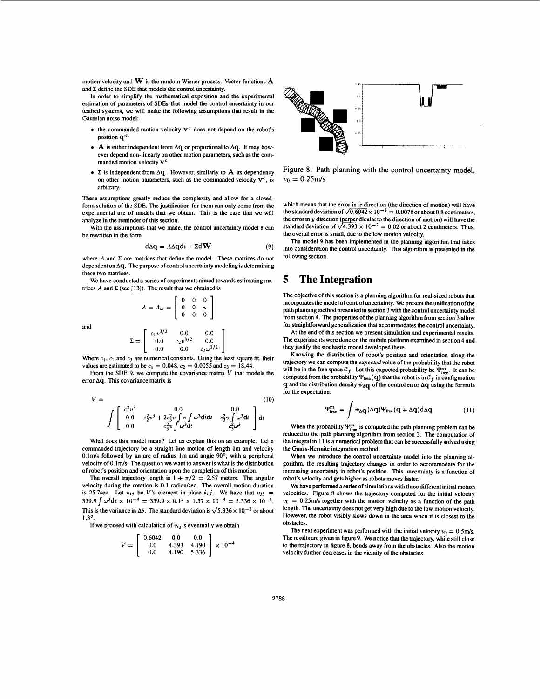motion velocity and **w** is the random Wiener process. Vector functions **<sup>A</sup>** and  $\Sigma$  define the SDE that models the control uncertainty.

In order to simplify the mathematical exposition and the experimental estimation of parameters of SDEs that model the control uncertainty in our testbed systems, we will make the following assumptions that result in the Gaussian noise model:

- $\bullet$  the commanded motion velocity  $V^c$  does not depend on the robot's position **q"**
- **A** is either independent from  $\Delta q$  or proportional to  $\Delta q$ . It may however depend non-linearly on other motion parameters, such **as** the commanded motion velocity  $V^c$ .
- $\Sigma$  is independent from  $\Delta q$ . However, similarly to **A** its dependency on other motion parameters, such as the commanded velocity  $\mathbf{v}^c$ , is arbitrary.

These assumptions greatly reduce the complexity and allow for a closedform solution of the SDE. The justification for them can only come from the experimental use of models that we obtain. This is the case that we will analyze in the reminder of this section.

With the assumptions that we made, the control uncertainty model 8 can be rewritten in the form

$$
d\Delta q = A\Delta q dt + \Sigma dW \qquad (9)
$$

where  $A$  and  $\Sigma$  are matrices that define the model. These matrices do not dependent on **Aq,** The purpose **of** control uncertainty modeling is determining these two matrices.

We have conducted a series of experiments aimed towards estimating matrices  $A$  and  $\Sigma$  (see [13]). The result that we obtained is

$$
A = A_{\omega} = \begin{bmatrix} 0 & 0 & 0 \\ 0 & 0 & v \\ 0 & 0 & 0 \end{bmatrix}
$$

$$
\Sigma = \begin{bmatrix} c_1 v^{3/2} & 0.0 & 0.0 \\ 0.0 & c_2 v^{3/2} & 0.0 \\ 0.0 & 0.0 & c_3 \omega^{3/2} \end{bmatrix}
$$

and

Where  $c_1$ ,  $c_2$  and  $c_3$  are numerical constants. Using the least square fit, their values are estimated to be  $c_1 = 0.048$ ,  $c_2 = 0.0055$  and  $c_3 = 18.44$ .

From the SDE  $9$ , we compute the covariance matrix  $V$  that models the error **Aq.** This covariance matrix is

$$
V = \int \begin{bmatrix} c_1^2 v^3 & 0.0 & 0.0 \\ 0.0 & c_2^2 v^3 + 2c_3^2 v \int v \int \omega^3 \mathsf{d}t \, d\mathsf{d}t & c_3^2 v \int \omega^3 \mathsf{d}t \\ 0.0 & c_3^2 v \int \omega^3 \mathsf{d}t & c_3^2 \omega^3 \end{bmatrix} \mathsf{d}t
$$
 (10)

What does this model mean? Let us explain this on an example. Let a commanded trajectory be a straight line motion of length Im and velocity O.lm/s followed by an arc of radius Im and angle **90°,** with a peripheral velocity of O.lm/s. The question we want to answer is what is the distribution of robot's position and orientation upon the completion of this motion.

The overall trajectory length is  $1 + \pi/2 = 2.57$  meters. The angular velocity during the rotation is 0.1 radian/sec. The overall motion duration is 25.7sec. Let  $v_{ij}$  be V's element in place *i, j.* We have that  $v_{33}$  =  $339.9 \int \omega^3 dt \times 10^{-4} = 339.9 \times 0.1^2 \times 1.57 \times 10^{-4} = 5.336 \times 10^{-4}$ This is the variance in  $\Delta\theta$ . The standard deviation is  $\sqrt{5.336} \times 10^{-2}$  or about **1.3O.** 

If we proceed with calculation of  $v_{ij}$ 's eventually we obtain

$$
V = \left[\begin{array}{ccc} 0.6042 & 0.0 & 0.0 \\ 0.0 & 4.393 & 4.190 \\ 0.0 & 4.190 & 5.336 \end{array}\right] \times 10^{-4}
$$



Figure 8: Path planning with the control uncertainty model,  $v_0 = 0.25$ m/s

which means that the error in  $x$  direction (the direction of motion) will have the standard deviation of  $\sqrt{0.6042} \times 10^{-2} = 0.0078$  or about 0.8 centimeters, the error in *y* direction (perpendicular to the direction of motion) will have the standard deviation of  $\sqrt{4.393} \times 10^{-2} = 0.02$  or about 2 centimeters. Thus, the overall error is small. due to the low motion velocity.

The model 9 has been implemented in the planning algorithm that takes into consideration **the** control uncertainty. This algorithm is presented in the following section.

### **5 The Integration**

The objective of this section is a planning algorithm for real-sized robots that incorporates the model of control uncertainty. We present the unification ofthe path planning method presented in section **3** with the control uncertainty model from section **4.** The properties of the planning algorithm from section **3** allow for straightforward generalization that accommodates the control uncertainty.

At the end of this section we present simulation and experimental results. The experiments were done on the mobile platform examined in section **4** and they justify the stochastic model developed there.

Knowing the distribution of robot's position and orientation along the trajectory we can compute the expected value of the probability that the robot will be in the free space  $C_f$ . Let this expected probability be  $\Psi_{\text{free}}^m$ . It can be computed from the probability  $\Psi_{\text{free}}(q)$  that the robot is in  $C_f$  in configuration **q** and the distribution density  $\psi_{\Delta q}$  of the control error  $\Delta q$  using the formula for the expectation:

$$
\Psi_{\text{free}}^{m} = \int \psi_{\Delta} \mathbf{q} (\Delta \mathbf{q}) \Psi_{\text{free}} (\mathbf{q} + \Delta \mathbf{q}) d\Delta \mathbf{q}
$$
 (11)

When the probability  $\Psi_{\text{free}}^m$  is computed the path planning problem can be reduced to the path planning algorithm from section **3.** The computation of the integral in 1 **1** is a numerical problem that can be successfully solved using the Gauss-Hermite integration method.

When we introduce the control uncertainty model into the planning algorithm, the resulting trajectory changes in order to accommodate for the increasing uncertainty in robot's position. This uncertainty is a function of robot's velocity and gets higher **as** robots moves faster.

We have performed a series of simulations with three different initial motion velocities. Figure 8 shows the trajectory computed for the initial velocity  $v_0 = 0.25$ m/s together with the motion velocity as a function of the path length. The uncertainty does not get very high due to the low motion velocity. However, the robot visibly slows down in the area when it is closest to the obstacles.

The next experiment was performed with the initial velocity  $v_0 = 0.5$  m/s. The results are given in figure **9.** We notice that the trajectory, while still close to the trajectory in figure **8,** bends away from the obstacles. Also the motion velocity further decreases in the vicinity of the obstacles.